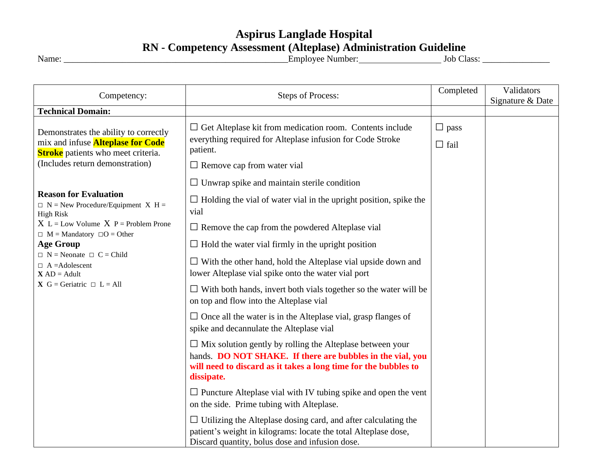## **Aspirus Langlade Hospital RN - Competency Assessment (Alteplase) Administration Guideline**

Name: \_\_\_\_\_\_\_\_\_\_\_\_\_\_\_\_\_\_\_\_\_\_\_\_\_\_\_\_\_\_\_\_\_\_\_\_\_\_\_\_\_\_\_\_\_\_\_\_\_\_Employee Number: Job Class: \_\_\_\_\_\_\_\_\_\_\_\_\_\_\_

| Competency:                                                                                                                                                                                                                                                                                                                   | <b>Steps of Process:</b>                                                                                                                                                                                                                          | Completed                  | Validators<br>Signature & Date |
|-------------------------------------------------------------------------------------------------------------------------------------------------------------------------------------------------------------------------------------------------------------------------------------------------------------------------------|---------------------------------------------------------------------------------------------------------------------------------------------------------------------------------------------------------------------------------------------------|----------------------------|--------------------------------|
| <b>Technical Domain:</b>                                                                                                                                                                                                                                                                                                      |                                                                                                                                                                                                                                                   |                            |                                |
| Demonstrates the ability to correctly<br>mix and infuse <b>Alteplase for Code</b><br><b>Stroke</b> patients who meet criteria.<br>(Includes return demonstration)                                                                                                                                                             | $\Box$ Get Alteplase kit from medication room. Contents include<br>everything required for Alteplase infusion for Code Stroke<br>patient.<br>$\Box$ Remove cap from water vial                                                                    | $\Box$ pass<br>$\Box$ fail |                                |
| <b>Reason for Evaluation</b><br>$\Box$ N = New Procedure/Equipment X H =<br><b>High Risk</b><br>$X L = Low Volume X P = Problem$ Prone<br>$\Box$ M = Mandatory $\Box$ O = Other<br><b>Age Group</b><br>$\Box$ N = Neonate $\Box$ C = Child<br>$\Box$ A =Adolescent<br>$X AD = Adult$<br><b>X</b> G = Geriatric $\Box$ L = All | $\Box$ Unwrap spike and maintain sterile condition<br>$\Box$ Holding the vial of water vial in the upright position, spike the<br>vial                                                                                                            |                            |                                |
|                                                                                                                                                                                                                                                                                                                               | $\Box$ Remove the cap from the powdered Alteplase vial<br>$\Box$ Hold the water vial firmly in the upright position<br>$\Box$ With the other hand, hold the Alteplase vial upside down and<br>lower Alteplase vial spike onto the water vial port |                            |                                |
|                                                                                                                                                                                                                                                                                                                               | $\Box$ With both hands, invert both vials together so the water will be<br>on top and flow into the Alteplase vial                                                                                                                                |                            |                                |
|                                                                                                                                                                                                                                                                                                                               | $\Box$ Once all the water is in the Alteplase vial, grasp flanges of<br>spike and decannulate the Alteplase vial                                                                                                                                  |                            |                                |
|                                                                                                                                                                                                                                                                                                                               | $\Box$ Mix solution gently by rolling the Alteplase between your<br>hands. DO NOT SHAKE. If there are bubbles in the vial, you<br>will need to discard as it takes a long time for the bubbles to<br>dissipate.                                   |                            |                                |
|                                                                                                                                                                                                                                                                                                                               | $\Box$ Puncture Alteplase vial with IV tubing spike and open the vent<br>on the side. Prime tubing with Alteplase.                                                                                                                                |                            |                                |
|                                                                                                                                                                                                                                                                                                                               | $\Box$ Utilizing the Alteplase dosing card, and after calculating the<br>patient's weight in kilograms: locate the total Alteplase dose,<br>Discard quantity, bolus dose and infusion dose.                                                       |                            |                                |